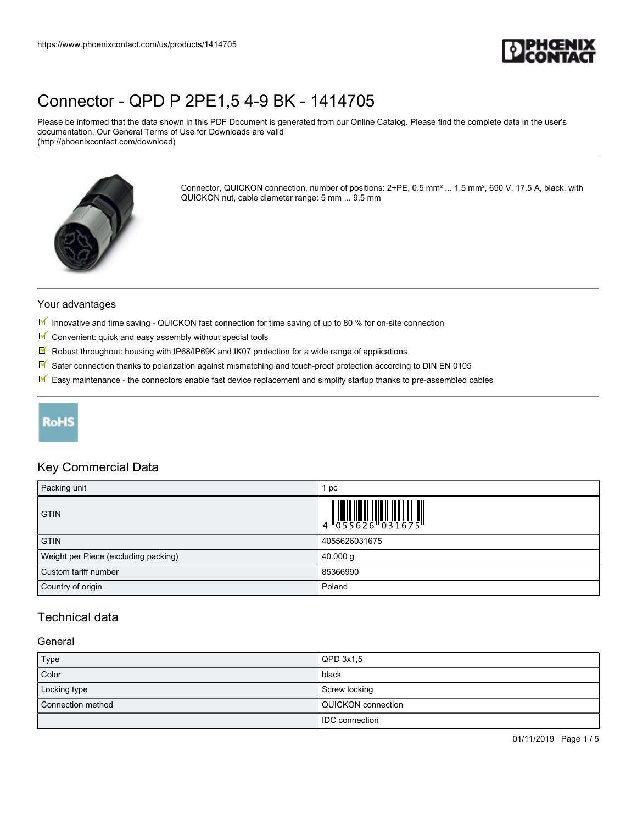

Please be informed that the data shown in this PDF Document is generated from our Online Catalog. Please find the complete data in the user's documentation. Our General Terms of Use for Downloads are valid (http://phoenixcontact.com/download)



Connector, QUICKON connection, number of positions: 2+PE, 0.5 mm² ... 1.5 mm², 690 V, 17.5 A, black, with QUICKON nut, cable diameter range: 5 mm ... 9.5 mm

#### Your advantages

- Innovative and time saving QUICKON fast connection for time saving of up to 80 % for on-site connection
- $\blacksquare$  Convenient: quick and easy assembly without special tools
- $\sqrt{}$ Robust throughout: housing with IP68/IP69K and IK07 protection for a wide range of applications
- $\boxed{\blacksquare}$  Safer connection thanks to polarization against mismatching and touch-proof protection according to DIN EN 0105
- $\overline{\mathbb{M}}$  Easy maintenance the connectors enable fast device replacement and simplify startup thanks to pre-assembled cables

## **RoHS**

### Key Commercial Data

| Packing unit                         | рc                                                                                     |
|--------------------------------------|----------------------------------------------------------------------------------------|
| <b>GTIN</b>                          | $\begin{array}{c} 1 & 0 & 0 & 0 \\ 0 & 0 & 0 & 0 & 0 \\ 0 & 0 & 0 & 0 & 0 \end{array}$ |
| <b>GTIN</b>                          | 4055626031675                                                                          |
| Weight per Piece (excluding packing) | $40.000$ g                                                                             |
| Custom tariff number                 | 85366990                                                                               |
| Country of origin                    | Poland                                                                                 |

### Technical data

### **General**

| Type              | $QPD$ 3x1,5               |
|-------------------|---------------------------|
| Color             | black                     |
| Locking type      | Screw locking             |
| Connection method | <b>QUICKON</b> connection |
|                   | <b>IDC</b> connection     |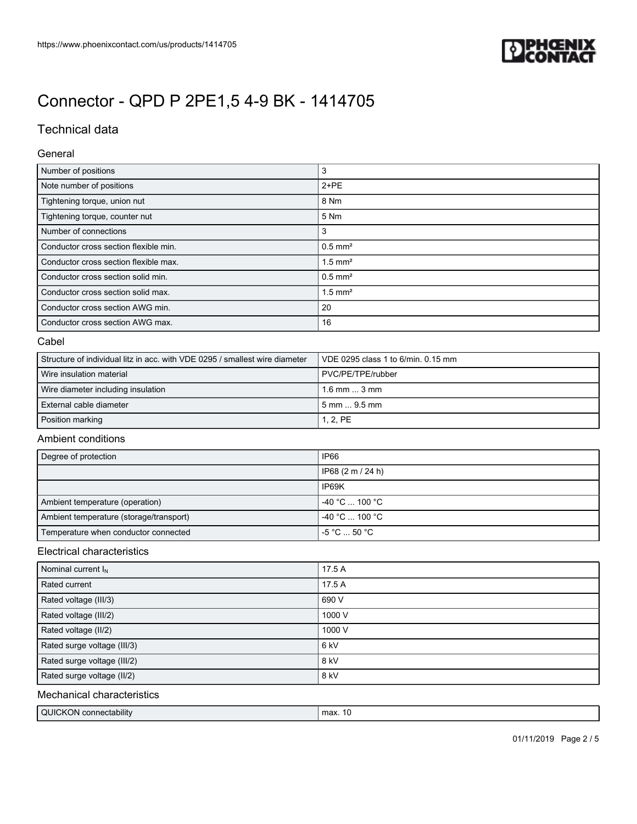

## Technical data

#### General

| Number of positions                   | 3                     |
|---------------------------------------|-----------------------|
| Note number of positions              | $2+PE$                |
| Tightening torque, union nut          | 8 Nm                  |
| Tightening torque, counter nut        | 5 Nm                  |
| Number of connections                 | 3                     |
| Conductor cross section flexible min. | $0.5$ mm <sup>2</sup> |
| Conductor cross section flexible max. | $1.5$ mm <sup>2</sup> |
| Conductor cross section solid min.    | $0.5$ mm <sup>2</sup> |
| Conductor cross section solid max.    | $1.5$ mm <sup>2</sup> |
| Conductor cross section AWG min.      | 20                    |
| Conductor cross section AWG max.      | 16                    |

#### Cabel

| l Structure of individual litz in acc. with VDE 0295 / smallest wire diameter_ | $\sqrt{1}$ VDE 0295 class 1 to 6/min. 0.15 mm |
|--------------------------------------------------------------------------------|-----------------------------------------------|
| l Wire insulation material                                                     | PVC/PE/TPE/rubber                             |
| Wire diameter including insulation                                             | $1.6$ mm $\dots$ 3 mm                         |
| External cable diameter                                                        | 5 mm  9.5 mm                                  |
| Position marking                                                               | 1, 2, PE                                      |

### Ambient conditions

| Degree of protection                    | IP66                                         |
|-----------------------------------------|----------------------------------------------|
|                                         | IP68 (2 m / 24 h)                            |
|                                         | IP69K                                        |
| Ambient temperature (operation)         | $-40 °C$ 100 °C                              |
| Ambient temperature (storage/transport) | $-40 °C$ 100 °C                              |
| Temperature when conductor connected    | $-5\,^{\circ}\text{C}$ 50 $^{\circ}\text{C}$ |

### Electrical characteristics

| Nominal current $I_N$       | 17.5 A |
|-----------------------------|--------|
| Rated current               | 17.5 A |
| Rated voltage (III/3)       | 690 V  |
| Rated voltage (III/2)       | 1000 V |
| Rated voltage (II/2)        | 1000 V |
| Rated surge voltage (III/3) | 6 kV   |
| Rated surge voltage (III/2) | 8 kV   |
| Rated surge voltage (II/2)  | 8 kV   |

### Mechanical characteristics

| QUICKON connectability | max. |
|------------------------|------|
|                        |      |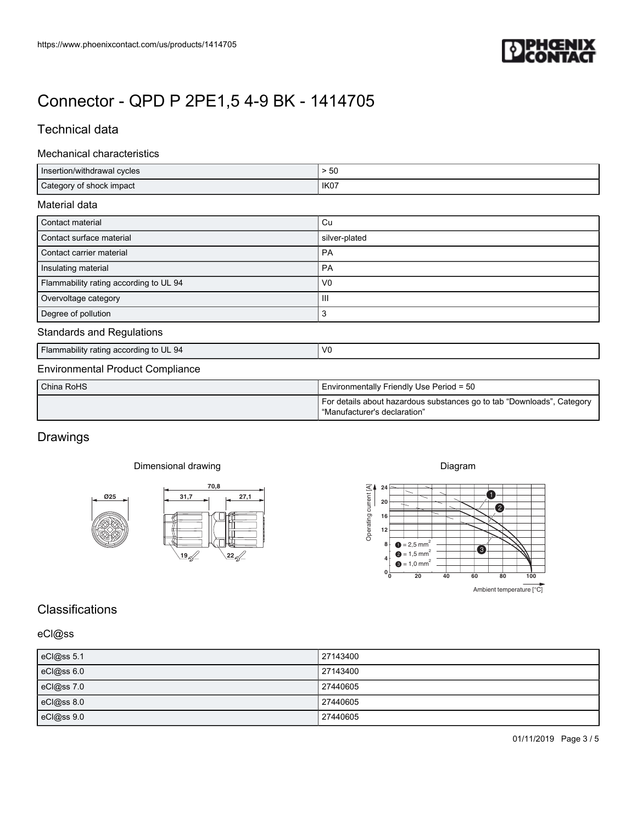

## Technical data

#### Mechanical characteristics

| https://www.phoenixcontact.com/us/products/1414705            | PHŒNIX                                                                                                 |
|---------------------------------------------------------------|--------------------------------------------------------------------------------------------------------|
|                                                               |                                                                                                        |
| Connector - QPD P 2PE1,5 4-9 BK - 1414705                     |                                                                                                        |
|                                                               |                                                                                                        |
| Technical data                                                |                                                                                                        |
| Mechanical characteristics                                    |                                                                                                        |
| Insertion/withdrawal cycles<br>Category of shock impact       | $>50\,$<br>IK07                                                                                        |
| Material data                                                 |                                                                                                        |
| Contact material                                              | $\mathtt{Cu}$                                                                                          |
| Contact surface material                                      | silver-plated                                                                                          |
| Contact carrier material                                      | PA                                                                                                     |
| Insulating material<br>Flammability rating according to UL 94 | PA<br>${\sf V0}$                                                                                       |
|                                                               |                                                                                                        |
| Overvoltage category                                          | Ш                                                                                                      |
| Degree of pollution                                           | 3                                                                                                      |
| <b>Standards and Regulations</b>                              |                                                                                                        |
| Flammability rating according to UL 94                        | ${\sf V0}$                                                                                             |
| <b>Environmental Product Compliance</b>                       |                                                                                                        |
| China RoHS                                                    | Environmentally Friendly Use Period = 50                                                               |
|                                                               | For details about hazardous substances go to tab "Downloads", Category<br>"Manufacturer's declaration" |
|                                                               |                                                                                                        |
| Drawings                                                      |                                                                                                        |
| Dimensional drawing                                           | Diagram                                                                                                |
| 70,8<br>27,1<br>025<br>31,7                                   | 24                                                                                                     |
| ×                                                             | $20 \mid$<br>$\mathbf{C}$<br>16                                                                        |
|                                                               | $12$                                                                                                   |
|                                                               | Operating current [A]<br>$\bullet$ = 2,5 mm <sup>2</sup><br>8 <sup>1</sup><br>$\bullet$                |
| <u>\19 ส</u><br>$\frac{22}{\sqrt{2}}$                         | $\bullet$ = 1,5 mm <sup>2</sup><br>$\bullet$ = 1,0 mm <sup>2</sup>                                     |
|                                                               | $0^{\mathsf{L}}_0$<br>20<br>40<br>60<br>100<br>80<br>Ambient temperature [°C]                          |
|                                                               |                                                                                                        |
|                                                               |                                                                                                        |
| Classifications<br>eCl@ss                                     |                                                                                                        |
| eCl@ss 5.1                                                    | 27143400                                                                                               |
| eCl@ss 6.0                                                    | 27143400<br>27440605                                                                                   |
| eCl@ss 7.0<br>eCl@ss 8.0                                      | 27440605                                                                                               |
| eCl@ss 9.0                                                    | 27440605                                                                                               |

| China RoHS | I Environmentally Friendly Use Period = 50                                                             |
|------------|--------------------------------------------------------------------------------------------------------|
|            | For details about hazardous substances go to tab "Downloads", Category<br>"Manufacturer's declaration" |

## Drawings

### Dimensional drawing





## **Classifications**

### eCl@ss

| eCl@ss 5.1 | 27143400 |
|------------|----------|
| eCl@ss 6.0 | 27143400 |
| eCl@ss 7.0 | 27440605 |
| eCl@ss 8.0 | 27440605 |
| eCl@ss 9.0 | 27440605 |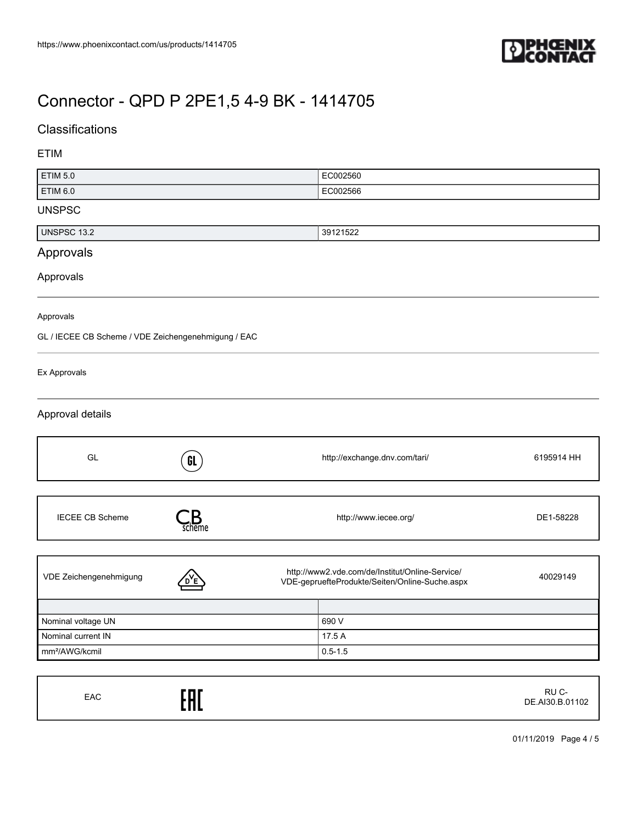

## **Classifications**

### ETIM

| <b>ETIM 5.0</b>                                     |                                 | EC002560                                                                                          |            |
|-----------------------------------------------------|---------------------------------|---------------------------------------------------------------------------------------------------|------------|
| <b>ETIM 6.0</b>                                     | EC002566                        |                                                                                                   |            |
| <b>UNSPSC</b>                                       |                                 |                                                                                                   |            |
| <b>UNSPSC 13.2</b>                                  |                                 | 39121522                                                                                          |            |
| Approvals                                           |                                 |                                                                                                   |            |
| Approvals                                           |                                 |                                                                                                   |            |
| Approvals                                           |                                 |                                                                                                   |            |
| GL / IECEE CB Scheme / VDE Zeichengenehmigung / EAC |                                 |                                                                                                   |            |
| Ex Approvals                                        |                                 |                                                                                                   |            |
| Approval details                                    |                                 |                                                                                                   |            |
| GL                                                  | GL                              | http://exchange.dnv.com/tari/                                                                     | 6195914 HH |
| <b>IECEE CB Scheme</b>                              | $\mathcal{L}_{\mathsf{scheme}}$ | http://www.iecee.org/                                                                             | DE1-58228  |
| VDE Zeichengenehmigung                              |                                 | http://www2.vde.com/de/Institut/Online-Service/<br>VDE-gepruefteProdukte/Seiten/Online-Suche.aspx | 40029149   |
| Nominal voltage UN                                  |                                 | 690 V                                                                                             |            |
| Nominal current IN                                  |                                 | 17.5 A                                                                                            |            |
| mm <sup>2</sup> /AWG/kcmil                          |                                 | $0.5 - 1.5$                                                                                       |            |

| EAC | EAC | RU C-<br>DE.AI30.B.01102 |
|-----|-----|--------------------------|
|-----|-----|--------------------------|

01/11/2019 Page 4 / 5